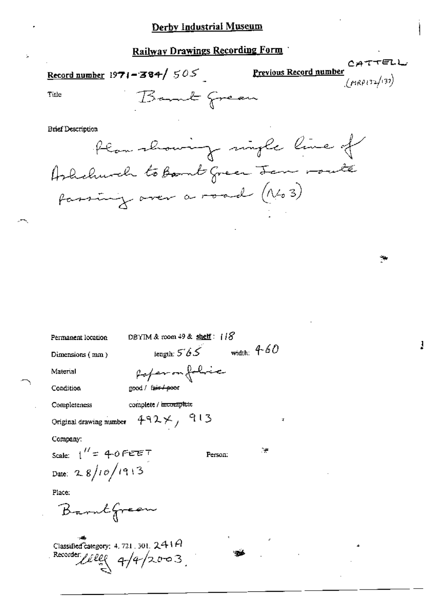Record number 1971 - 384/  $505$ 

Previous Record number  $(\mu$ RP132/137)

CATTELL

Title

**Brief Description** 

Plan showing single line of Ashelmach to Bomb green Jan route fassing over a road (No 3)

| DBYTM & room 49 & shelf: 118<br>Permanent location                           |  |  |  |
|------------------------------------------------------------------------------|--|--|--|
| width: $4-60$<br>tength: $565$<br>Dimensions (mm)                            |  |  |  |
| Pofermfolice<br>Material                                                     |  |  |  |
| good / f <del>air / poo</del> r<br>Condition                                 |  |  |  |
| complete / incomplete<br>Completeness                                        |  |  |  |
| $492\times$ , 913<br>д<br>Original drawing number                            |  |  |  |
| Company:                                                                     |  |  |  |
| . e<br>Scale: $1'' = 40$ FEET<br>Person:                                     |  |  |  |
| Date: 28/10/1913                                                             |  |  |  |
| Place:                                                                       |  |  |  |
| Barntfreen                                                                   |  |  |  |
| Classified category: 4, 721, 301, $241A$<br>Recorder <i>lives</i> $4/4/2003$ |  |  |  |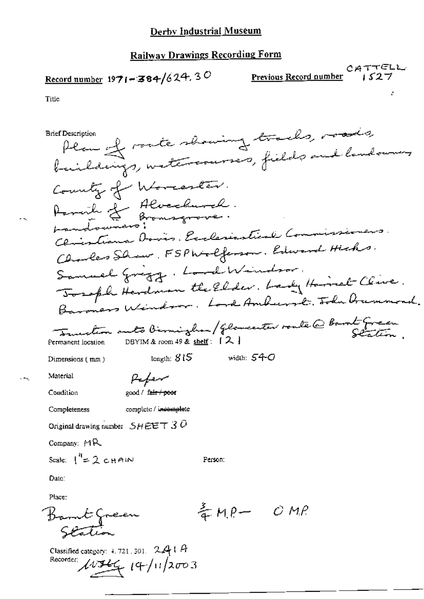$Record number 1971 - 384/624.30$ </u>

 $OATTGL$ <br>Previous Record number  $0.527$ 

Title

Plan of route showing tracks, roads, **Brief Description** baildings, watercourses, fields and landowners County of Worcester. Armich & Alverdurch. Clintiana Dovis. Exclariational Commissioner Charles Show, FSPWolferson, Edward Hicks Samuel Grigg, Lord Windsor. Tosoph Herdman the Elder. Lady Homet Clive. Baroners Windows, Lord Amburst, John Drummond. Function auto Birmingham/ Gloventer route @ Book Green DBYIM & room 49 & shelf: [2] Permanent location length:  $315$ width:  $54-$ O Dimensions (mm) Material Peter Condition good / fair / poor Completeness complete / incomplete Original drawing number  $SHEET3O$ Company: MR Scale:  $\binom{n}{2}$  chain Person: Date: Place:  $kmP-ONR$ Barnt Green Station

Classified category: 4, 721, 301. 24 | A Recorder:  $14/11/2003$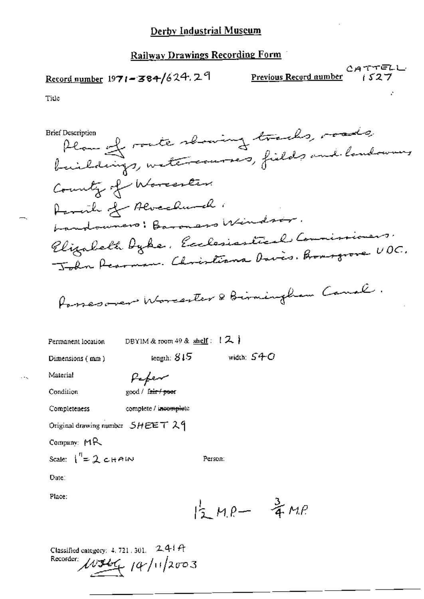# Record number  $1971 - 384/624$ , 29

CATTELL<br>Previous Record number 1527

Title

Plan of route showing tracks, roads, **Brief Description** buildings, watercourses, fields and londowing County of Worcester. Parcile of Alverdamal . bandoumers: Baronars Windsor. Elizabeth Dyke, Ecclesiastical Commissioners John Rearman. Christiana Davis. Bronogrove UDC. Passesover Worcester & Birmingham Canal. DBYIM & room 49 & shelf:  $\{2, \}$ Permanent location length:  $815$ width:  $S4C$ Dimensions (mm) Material Pefer Condition good / fair / poer Completeness complete / incomplete Original drawing number  $SHEET$  29 Company: MR Scale:  $\int_{0}^{1} = 2 cH A W$ Person: Date: Place:  $15 Me-7 Me$ 

Classified category: 4, 721, 301. 241 ft  $10346$   $(4/11)2003$ Recorder: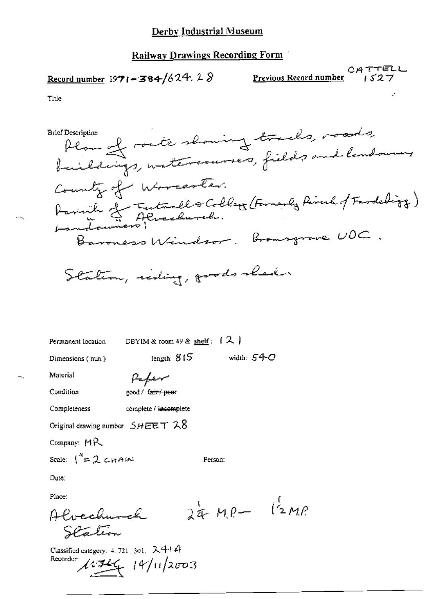Record number 1971-384/624.28

Previous Record number

Title

**Brief Description** 

Alan of route showing tracks, roads, baildings, watercourses, fields and landowners County of Worcester. Parink Le Futuallo Colleg (Formerly Riverkof Fardeligy) Baroness Windsor. Bromsgrove UDC

width:  $54 \sigma$ 

Station, riding, goods shed.

Permanent location

DBYIM & room 49 & shelf:  $(2)$ 

length:  $815$ 

Dimensions (mm)

Paper

Condition

Material

good / fair / poor

Completeness complete / incomplete

Original drawing number  $SHEET$   $\lambda 8$ 

Company:  $MR$ 

Scale:  $\int_{0}^{\pi} 2 \text{cm}^2$ 

Person:

Date:

Place:

 $24MP - 12MP$ Alvechurch Station

Classified category: 4, 721, 301,  $2.41A$ Recorder  $\mu$  19/11/2003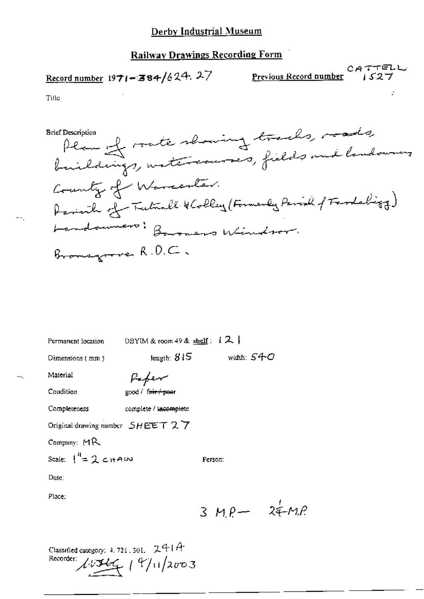# Record number 1971-384/624.27

CATTELL<br>Previous Record number  $S27$ 

Title

Plan of rate showing tracks, roads, **Brief Description** County of Warrenter. Parisich of Tutuall & Colley (Formerly Parish of Fardeling) Landouners: Boromers Windsor. Bromsgroves R.D.C.

DBYIM & room 49 & shelf:  $12$ Permanent location

Dimensions (mm)

length:  $815$ 

width:  $S4C$ 

Person:

Peper

Condition

Material

good / fair / poer

Completeness complete / incomplete

Original drawing number  $SHEET$  2 7

Company:  $MR$ 

Scale:  $\int_0^R = 2$  chain

Date:

Place:

 $3 MP - 24 MP$ 

Classified category: 4, 721, 301, 241A Recorder:  $19/11/2003$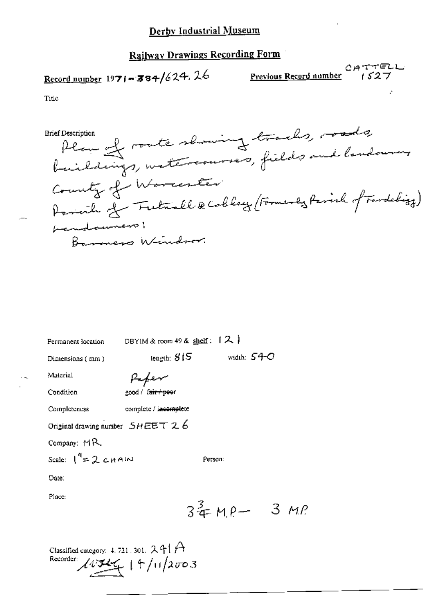## Railway Drawings Recording Form

# Record number 1971-384/624.26

 $O$ *ATTELL*<br>Previous Record number 1527

Title

Plan of route showing tracks, roads, **Brief Description** County of Worcester Parish of Futuall & Collegy (Formerly Parish of Fardelizy) handommens Barners Window.

Permanent location

DBYIM & room 49 & shelf:  $[2]$ 

Dimensions (mm)

(ength:  $815$ 

Condition

Material

Paper good / fair / poor

Completeness

complete / incomplete

Original drawing number  $SHEET \, 2.6$ 

Company: MR

Scale:  $\int_{0}^{q} = 2 c H A M$ 

Date:

Place:

 $34.49 - 3.42$ 

Ретзол:

width:  $54-*C*$ 

Classified category: 4, 721, 301,  $241A$ Recorder  $43/14/11/2003$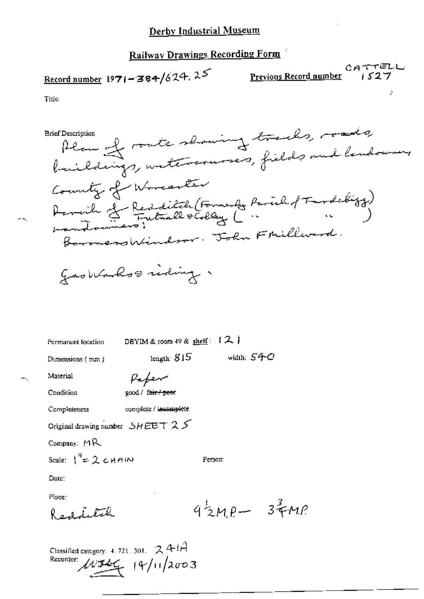# Railway Drawings Recording Form

# Record number 1971-384/624.25

CATTELL<br>Previous Record number 1527

Title

Plan of rate showing tracks, roads, **Brief Description** County of Worcanter Acreit Ledditch (Formerly Parcil of Fardebiog) BoronersWindow. John Fmillward.

goodbanks ording.

Permanent location

DBYIM & room 49 & shelf:  $[2]$ 

length:  $815$ 

Dimensions (mm)

Paper

Condition

Material

good / fair / poor

complete / incomplete

Completeness

Original drawing number  $SHEET 25$ 

Company: MR

Scale:  $1^4$  = 2 c HAIN

Date:

Place:

Redditch

 $4\frac{1}{2}MP - 3\frac{2}{3}MP$ 

width:  $S4C$ 

Person:

Classified category: 4, 721, 301,  $241A$ Recorder:  $19/11/2003$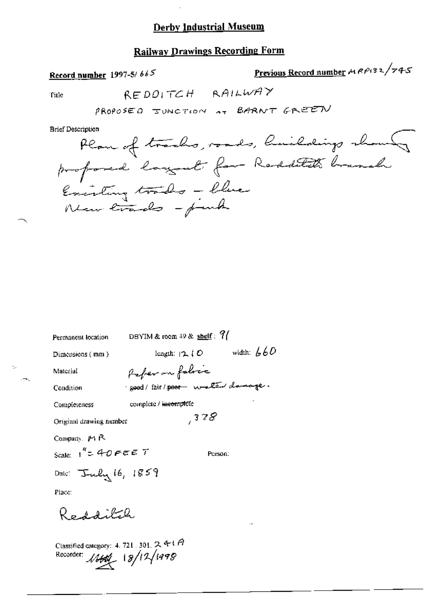#### **Railway Drawings Recording Form**

Record number 1997-5/665

Previous Record number MRP132/745

Title

÷.

REDOITCH RAILWAY

PROPOSED IUNCTION AT BARNT GREEN

**Brief Description** 

Permanent location DBYIM & room 49 & shelf:  $9/$ length:  $\sqrt{2}$  (O width:  $660$ Dimensions (mm) Paper on fabric Material good/fair/poor weller damage. Condition complete / incomplete Completeness  $7378$ Original drawing number Company. Pi R Scale:  $1'' = 40$   $\epsilon \in \mathbb{Z}$  T Person: Date: July 16, 1859 Place: Redditch Classified category: 4, 721, 301, 2, 4-1 A Recorder: 18/12/1998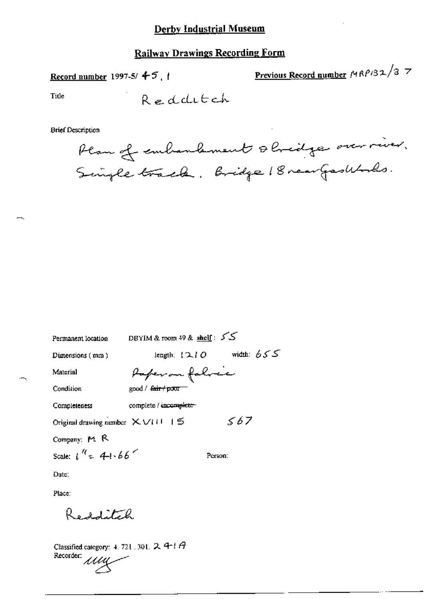## **Railway Drawings Recording Form**

Record number 1997-5/ $+5$ , 1

Previous Record number  $MRP/32/3$  7

Title

Redditch

**Brief Description** 

Plan of embandement shridge over river. Single track. Bridge 18 rear Gastbooks.

| Permanent location                              | DBYIM & room 49 & shelf: $55$              |
|-------------------------------------------------|--------------------------------------------|
| $Dimensions$ (mm)                               | ككك :width<br>length: $\{2,  \mathcal{O} $ |
| Material                                        | Paperon folice                             |
| Condition                                       | good / <del>fair / poor</del>              |
| Completeness                                    | complete / incomplete-                     |
| Original drawing number $X \vee U \cup I \leq$  | 567                                        |
| Company: M. R.                                  |                                            |
| Scale: $1^{\frac{1}{4}} = 4 + 66^{\frac{1}{4}}$ | Person:                                    |
| Date:                                           |                                            |
|                                                 |                                            |

Place:

Redditch

Classified category: 4, 721, 301,  $2$ , 4-1 $A$ Recorder:<br>Recorder: *MML*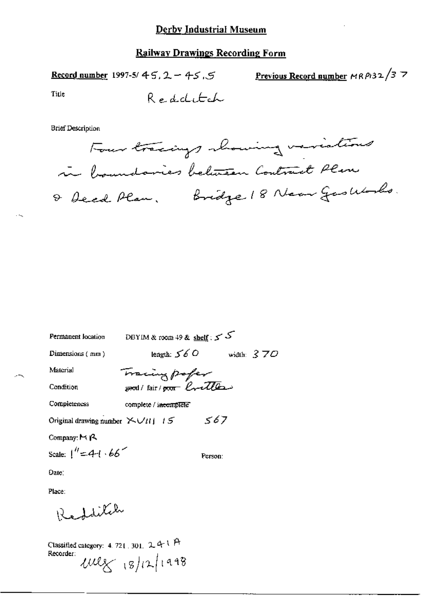Previous Record number  $MRP/32/37$ Record number 1997-5/45, 2 - 45, 5

Title

 $\sim$ 

**Brief Description** 

 $\mathcal{L}^{\text{max}}$ 

| Permanent location                        | DBYIM & room 49 & shelf : 5 5 |              |
|-------------------------------------------|-------------------------------|--------------|
| Dimensions $(mn)$                         | length: $560$                 | width: $370$ |
| Material                                  |                               |              |
| Condition                                 | Tracing pofer                 |              |
| Completeness                              | complete / incomplete         |              |
| Original drawing number $\sum U_{ii}$ / 5 | 567                           |              |
| Company: $\mathsf{P}(\mathsf{R})$         |                               |              |
| Scale: $1'' = 4 + 66$                     | Person:                       |              |
| Date:                                     |                               |              |
|                                           |                               |              |

Place:

Redditch

Classified category: 4.721.301. 241 A<br>Recorder:<br> $\text{UU} \times 18/12$  (9/12/1998)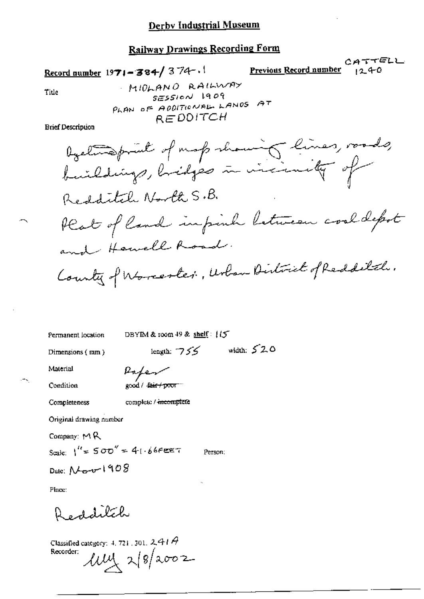# **Railway Drawings Recording Form**

Record number 1971-384/374-1

Previous Record number

CATTELL  $1240$ 

Title

MIOLANO RAILWAY  $s$  $\epsilon$ ssion 1909 PLAN OF ADDITIONAL LANDS AT REDDITCH

**Brief Description** 

Permanent location

DBYIM & room 49 & shelf: {IS

Dimensions (mm)

length:  $755$  width:  $520$ 

Material Condition

Paper good / fair + poor -

complete / incomplete

Original drawing number

Company:  $M$ R

Completeness

Scale:  $1'' = 500'' = 41.66$ FEET

Person:

Date: Nov 1908

Place:

Redditch

Classified category: 4, 721, 301, 2, 444  $\theta$  $\mu$ y 2/8/2002 Recorder: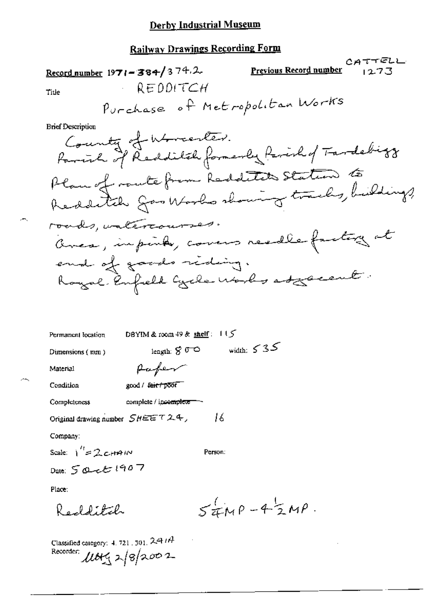| <u>Railway Drawings Recording Form</u>                                               |
|--------------------------------------------------------------------------------------|
| CATTELL<br><u>Previous Record number</u><br>Record number $1971 - 384/374.2$<br>1273 |
| $-$ REDDITCH<br>Title                                                                |
| Purchase of Metropolitan Works                                                       |
| <b>Brief Description</b>                                                             |
| County of Worcester.<br>Parink of Redditch formerly farish of Tardebirg              |
| Plan of route from Redditch Station to                                               |
|                                                                                      |
| roads, valercourses.                                                                 |
| aveca, inpinto, covers readle factory at                                             |
| end of goods riding.                                                                 |
| Royal Enfield Cycle Works as Lacent.                                                 |
|                                                                                      |
| DBYIM & room $49$ & shelf: $115$<br>Permanent location                               |
| width: $535$<br>length: $S \n\sigma$<br>Dumensions $(mn)$                            |
| Material                                                                             |
| Condition<br>good / feir / poor                                                      |
| Completeness<br>complete / ipco <del>mplete .</del>                                  |
| 16<br>Original drawing number $SHEET$ $7.24$ ,                                       |
|                                                                                      |

Company:

Ä,

Ж

Scale:  $1^{\prime\prime}$  = 2 c<sub>r</sub> + A IN

Person:

Date: 5 Quet 1907

Place:

 $54MP - 42MP$ Redditch

 $\bar{z}$ 

Classified category: 4.721.501.241A<br>Recorder:  $\mu$ <br> $\mu$   $\approx$   $\frac{1}{2}$   $\approx$   $\frac{1}{2}$   $\approx$   $\frac{1}{2}$